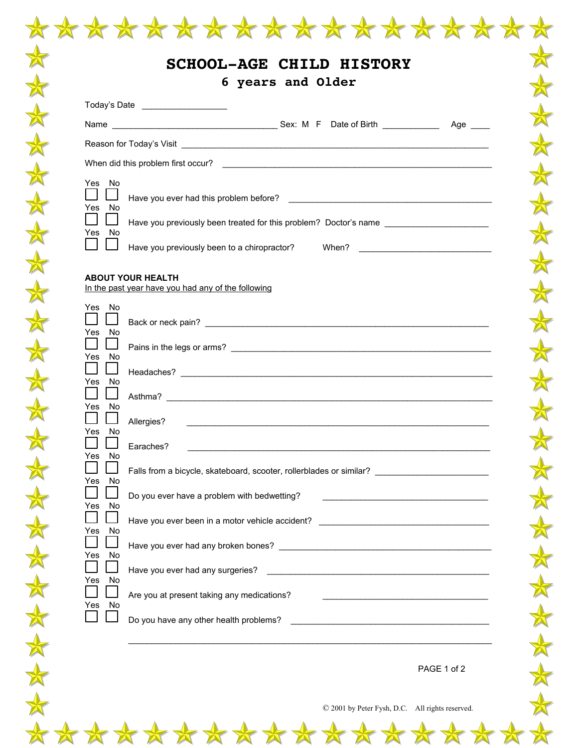|                                                              | 6 years and Older<br>Today's Date ___________________                                                                                                                                                               |
|--------------------------------------------------------------|---------------------------------------------------------------------------------------------------------------------------------------------------------------------------------------------------------------------|
|                                                              |                                                                                                                                                                                                                     |
|                                                              |                                                                                                                                                                                                                     |
|                                                              |                                                                                                                                                                                                                     |
| Yes No<br>Yes No                                             |                                                                                                                                                                                                                     |
| Yes No<br>$\perp$                                            | Have you previously been treated for this problem? Doctor's name ________________                                                                                                                                   |
|                                                              | Have you previously been to a chiropractor? When? ______________________________                                                                                                                                    |
|                                                              | <b>ABOUT YOUR HEALTH</b><br>In the past year have you had any of the following                                                                                                                                      |
| Yes No<br>Yes No                                             |                                                                                                                                                                                                                     |
| Yes No                                                       |                                                                                                                                                                                                                     |
| $\blacksquare$<br>$\Box$<br>Yes No<br>$\Box$<br>$\mathsf{L}$ |                                                                                                                                                                                                                     |
| Yes No                                                       | Allergies?<br><u> 1989 - Jan Barbara de Santo III e al Indonesia de la contrada de la contrada de la contrada de la contrada de</u>                                                                                 |
| Yes No<br>No<br>Yes                                          | Earaches?                                                                                                                                                                                                           |
| No<br>Yes                                                    | Falls from a bicycle, skateboard, scooter, rollerblades or similar? ________________________________                                                                                                                |
| Yes<br>No                                                    | Do you ever have a problem with bedwetting?                                                                                                                                                                         |
| No<br>Yes                                                    | Have you ever been in a motor vehicle accident? ________________________________                                                                                                                                    |
| No<br>Yes                                                    |                                                                                                                                                                                                                     |
| Yes No                                                       | Are you at present taking any medications?                                                                                                                                                                          |
| Yes No                                                       | <u> 1980 - Jan James James Barnett, martin de la política de la propia de la propia de la propia de la propia de</u><br>Do you have any other health problems?<br><u> 1980 - Andrea Brand, amerikansk politik (</u> |
|                                                              |                                                                                                                                                                                                                     |
|                                                              | PAGE 1 of 2                                                                                                                                                                                                         |